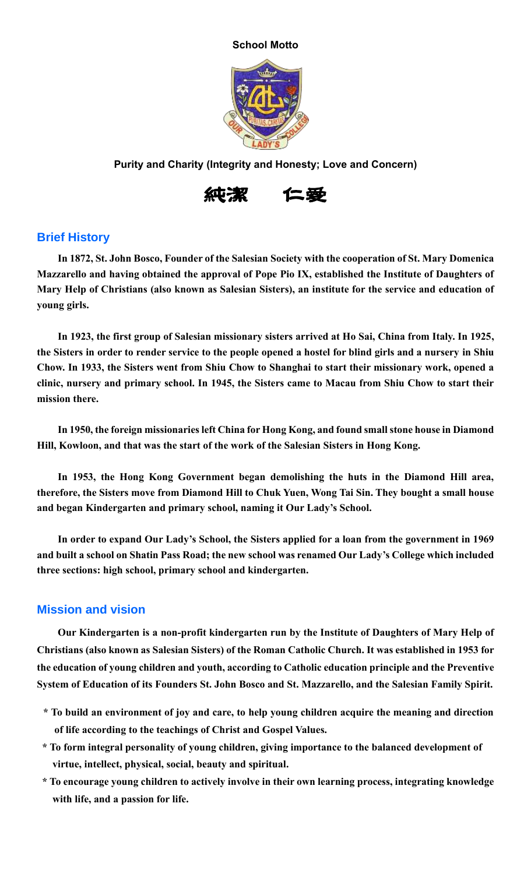

**Purity and Charity (Integrity and Honesty; Love and Concern)**



## **Brief History**

**In 1872, St. John Bosco, Founder of the Salesian Society with the cooperation of St. Mary Domenica Mazzarello and having obtained the approval of Pope Pio IX, established the Institute of Daughters of Mary Help of Christians (also known as Salesian Sisters), an institute for the service and education of young girls.**

**In 1923, the first group of Salesian missionary sisters arrived at Ho Sai, China from Italy. In 1925, the Sisters in order to render service to the people opened a hostel for blind girls and a nursery in Shiu Chow. In 1933, the Sisters went from Shiu Chow to Shanghai to start their missionary work, opened a clinic, nursery and primary school. In 1945, the Sisters came to Macau from Shiu Chow to start their mission there.**

**In 1950, the foreign missionaries left China for Hong Kong, and found small stone house in Diamond Hill, Kowloon, and that was the start of the work of the Salesian Sisters in Hong Kong.**

**In 1953, the Hong Kong Government began demolishing the huts in the Diamond Hill area, therefore, the Sisters move from Diamond Hill to Chuk Yuen, Wong Tai Sin. They bought a small house and began Kindergarten and primary school, naming it Our Lady's School.**

**In order to expand Our Lady's School, the Sisters applied for a loan from the government in 1969 and built a school on Shatin Pass Road; the new school was renamed Our Lady's College which included three sections: high school, primary school and kindergarten.**

## **Mission and vision**

**Our Kindergarten is a non-profit kindergarten run by the Institute of Daughters of Mary Help of Christians (also known as Salesian Sisters) of the Roman Catholic Church. It was established in 1953 for the education of young children and youth, according to Catholic education principle and the Preventive System of Education of its Founders St. John Bosco and St. Mazzarello, and the Salesian Family Spirit.**

- **\* To build an environment of joy and care, to help young children acquire the meaning and direction of life according to the teachings of Christ and Gospel Values.**
- **\* To form integral personality of young children, giving importance to the balanced development of virtue, intellect, physical, social, beauty and spiritual.**
- **\* To encourage young children to actively involve in their own learning process, integrating knowledge with life, and a passion for life.**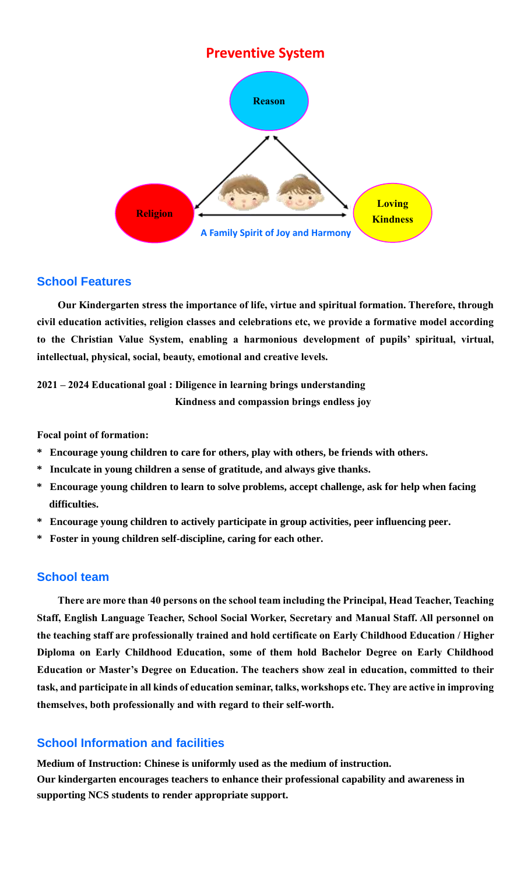

## **School Features**

**Our Kindergarten stress the importance of life, virtue and spiritual formation. Therefore, through civil education activities, religion classes and celebrations etc, we provide a formative model according to the Christian Value System, enabling a harmonious development of pupils' spiritual, virtual, intellectual, physical, social, beauty, emotional and creative levels.** 

**2021 – 2024 Educational goal : Diligence in learning brings understanding Kindness and compassion brings endless joy**

**Focal point of formation:**

- **\* Encourage young children to care for others, play with others, be friends with others.**
- **\* Inculcate in young children a sense of gratitude, and always give thanks.**
- **\* Encourage young children to learn to solve problems, accept challenge, ask for help when facing difficulties.**
- **\* Encourage young children to actively participate in group activities, peer influencing peer.**
- **\* Foster in young children self-discipline, caring for each other.**

# **School team**

**There are more than 40 persons on the school team including the Principal, Head Teacher, Teaching Staff, English Language Teacher, School Social Worker, Secretary and Manual Staff. All personnel on the teaching staff are professionally trained and hold certificate on Early Childhood Education / Higher Diploma on Early Childhood Education, some of them hold Bachelor Degree on Early Childhood Education or Master's Degree on Education. The teachers show zeal in education, committed to their task, and participate in all kinds of education seminar, talks, workshops etc. They are active in improving themselves, both professionally and with regard to their self-worth.**

# **School Information and facilities**

**Medium of Instruction: Chinese is uniformly used as the medium of instruction. Our kindergarten encourages teachers to enhance their professional capability and awareness in supporting NCS students to render appropriate support.**